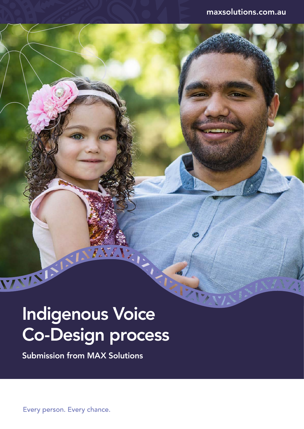# Indigenous Voice Co-Design process

 $\int d^2x$ 

Submission from MAX Solutions

Every person. Every chance.

WAYA KIN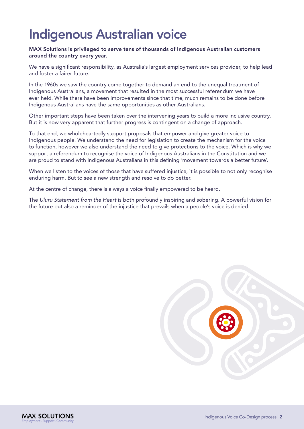### Indigenous Australian voice

#### MAX Solutions is privileged to serve tens of thousands of Indigenous Australian customers around the country every year.

We have a significant responsibility, as Australia's largest employment services provider, to help lead and foster a fairer future.

In the 1960s we saw the country come together to demand an end to the unequal treatment of Indigenous Australians, a movement that resulted in the most successful referendum we have ever held. While there have been improvements since that time, much remains to be done before Indigenous Australians have the same opportunities as other Australians.

Other important steps have been taken over the intervening years to build a more inclusive country. But it is now very apparent that further progress is contingent on a change of approach.

To that end, we wholeheartedly support proposals that empower and give greater voice to Indigenous people. We understand the need for legislation to create the mechanism for the voice to function, however we also understand the need to give protections to the voice. Which is why we support a referendum to recognise the voice of Indigenous Australians in the Constitution and we are proud to stand with Indigenous Australians in this defining 'movement towards a better future'.

When we listen to the voices of those that have suffered injustice, it is possible to not only recognise enduring harm. But to see a new strength and resolve to do better.

At the centre of change, there is always a voice finally empowered to be heard.

The *Uluru Statement from the Heart* is both profoundly inspiring and sobering. A powerful vision for the future but also a reminder of the injustice that prevails when a people's voice is denied.

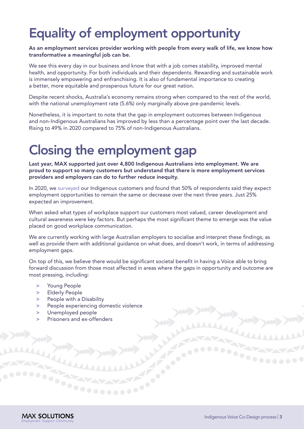### Equality of employment opportunity

As an employment services provider working with people from every walk of life, we know how transformative a meaningful job can be.

We see this every day in our business and know that with a job comes stability, improved mental health, and opportunity. For both individuals and their dependents. Rewarding and sustainable work is immensely empowering and enfranchising. It is also of fundamental importance to creating a better, more equitable and prosperous future for our great nation.

Despite recent shocks, Australia's economy remains strong when compared to the rest of the world, with the national unemployment rate (5.6%) only marginally above pre-pandemic levels.

Nonetheless, it is important to note that the gap in employment outcomes between Indigenous and non-Indigenous Australians has improved by less than a percentage point over the last decade. Rising to 49% in 2020 compared to 75% of non-Indigenous Australians.

### Closing the employment gap

Last year, MAX supported just over 4,800 Indigenous Australians into employment. We are proud to support so many customers but understand that there is more employment services providers and employers can do to further reduce inequity.

In 2020, we [surveyed](https://www.maxsolutions.com.au/sites/default/files/2021-02/MAX2774%20RAP%20Whitepaper%20template_D4b_FA.pdf) our Indigenous customers and found that 50% of respondents said they expect employment opportunities to remain the same or decrease over the next three years. Just 25% expected an improvement.

When asked what types of workplace support our customers most valued, career development and cultural awareness were key factors. But perhaps the most significant theme to emerge was the value placed on good workplace communication.

We are currently working with large Australian employers to socialise and interpret these findings, as well as provide them with additional guidance on what does, and doesn't work, in terms of addressing employment gaps.

 most pressing, including: On top of this, we believe there would be significant societal benefit in having a Voice able to bring forward discussion from those most affected in areas where the gaps in opportunity and outcome are

- > Young People
- > Elderly People
- > People with a Disability
- > People experiencing domestic violence
- > Unemployed people
- > Prisoners and ex-offenders